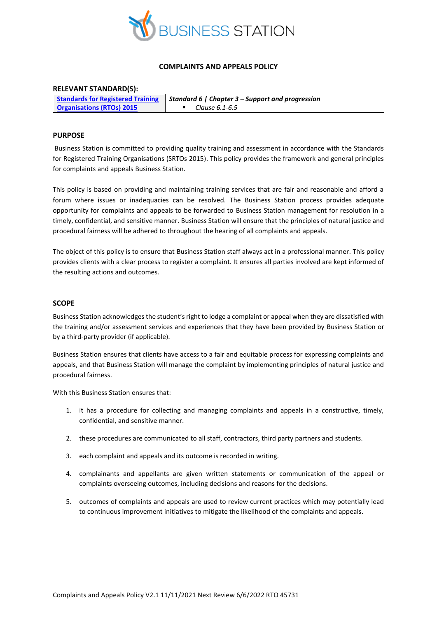

## **COMPLAINTS AND APPEALS POLICY**

# **RELEVANT STANDARD(S):**

|                                  | <b>Standards for Registered Training   Standard 6   Chapter 3 – Support and progression</b> |
|----------------------------------|---------------------------------------------------------------------------------------------|
| <b>Organisations (RTOs) 2015</b> | Clause 6.1-6.5                                                                              |

## **PURPOSE**

Business Station is committed to providing quality training and assessment in accordance with the Standards for Registered Training Organisations (SRTOs 2015). This policy provides the framework and general principles for complaints and appeals Business Station.

This policy is based on providing and maintaining training services that are fair and reasonable and afford a forum where issues or inadequacies can be resolved. The Business Station process provides adequate opportunity for complaints and appeals to be forwarded to Business Station management for resolution in a timely, confidential, and sensitive manner. Business Station will ensure that the principles of natural justice and procedural fairness will be adhered to throughout the hearing of all complaints and appeals.

The object of this policy is to ensure that Business Station staff always act in a professional manner. This policy provides clients with a clear process to register a complaint. It ensures all parties involved are kept informed of the resulting actions and outcomes.

## **SCOPE**

Business Station acknowledges the student's right to lodge a complaint or appeal when they are dissatisfied with the training and/or assessment services and experiences that they have been provided by Business Station or by a third-party provider (if applicable).

Business Station ensures that clients have access to a fair and equitable process for expressing complaints and appeals, and that Business Station will manage the complaint by implementing principles of natural justice and procedural fairness.

With this Business Station ensures that:

- 1. it has a procedure for collecting and managing complaints and appeals in a constructive, timely, confidential, and sensitive manner.
- 2. these procedures are communicated to all staff, contractors, third party partners and students.
- 3. each complaint and appeals and its outcome is recorded in writing.
- 4. complainants and appellants are given written statements or communication of the appeal or complaints overseeing outcomes, including decisions and reasons for the decisions.
- 5. outcomes of complaints and appeals are used to review current practices which may potentially lead to continuous improvement initiatives to mitigate the likelihood of the complaints and appeals.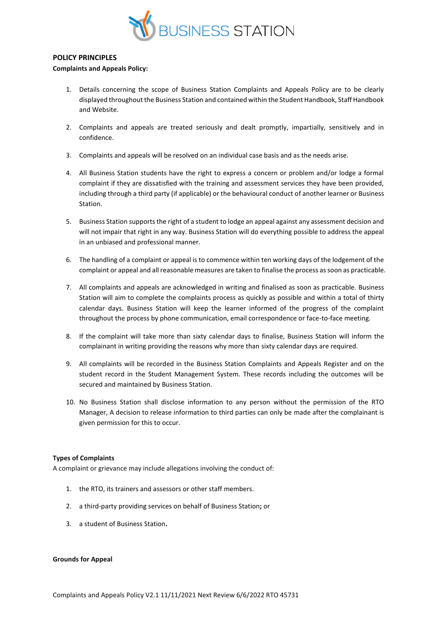

### **POLICY PRINCIPLES**

#### **Complaints and Appeals Policy:**

- 1. Details concerning the scope of Business Station Complaints and Appeals Policy are to be clearly displayed throughout the Business Station and contained within the Student Handbook, Staff Handbook and Website.
- 2. Complaints and appeals are treated seriously and dealt promptly, impartially, sensitively and in confidence.
- 3. Complaints and appeals will be resolved on an individual case basis and as the needs arise.
- 4. All Business Station students have the right to express a concern or problem and/or lodge a formal complaint if they are dissatisfied with the training and assessment services they have been provided, including through a third party (if applicable) or the behavioural conduct of another learner or Business Station.
- 5. Business Station supports the right of a student to lodge an appeal against any assessment decision and will not impair that right in any way. Business Station will do everything possible to address the appeal in an unbiased and professional manner.
- 6. The handling of a complaint or appeal is to commence within ten working days of the lodgement of the complaint or appeal and all reasonable measures are taken to finalise the process as soon as practicable.
- 7. All complaints and appeals are acknowledged in writing and finalised as soon as practicable. Business Station will aim to complete the complaints process as quickly as possible and within a total of thirty calendar days. Business Station will keep the learner informed of the progress of the complaint throughout the process by phone communication, email correspondence or face-to-face meeting.
- 8. If the complaint will take more than sixty calendar days to finalise, Business Station will inform the complainant in writing providing the reasons why more than sixty calendar days are required.
- 9. All complaints will be recorded in the Business Station Complaints and Appeals Register and on the student record in the Student Management System. These records including the outcomes will be secured and maintained by Business Station.
- 10. No Business Station shall disclose information to any person without the permission of the RTO Manager, A decision to release information to third parties can only be made after the complainant is given permission for this to occur.

## **Types of Complaints**

A complaint or grievance may include allegations involving the conduct of:

- 1. the RTO, its trainers and assessors or other staff members.
- 2. a third-party providing services on behalf of Business Station**;** or
- 3. a student of Business Station**.**

#### **Grounds for Appeal**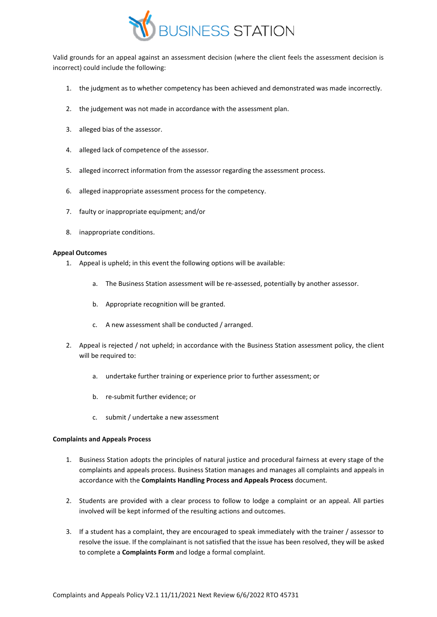

Valid grounds for an appeal against an assessment decision (where the client feels the assessment decision is incorrect) could include the following:

- 1. the judgment as to whether competency has been achieved and demonstrated was made incorrectly.
- 2. the judgement was not made in accordance with the assessment plan.
- 3. alleged bias of the assessor.
- 4. alleged lack of competence of the assessor.
- 5. alleged incorrect information from the assessor regarding the assessment process.
- 6. alleged inappropriate assessment process for the competency.
- 7. faulty or inappropriate equipment; and/or
- 8. inappropriate conditions.

### **Appeal Outcomes**

- 1. Appeal is upheld; in this event the following options will be available:
	- a. The Business Station assessment will be re-assessed, potentially by another assessor.
	- b. Appropriate recognition will be granted.
	- c. A new assessment shall be conducted / arranged.
- 2. Appeal is rejected / not upheld; in accordance with the Business Station assessment policy, the client will be required to:
	- a. undertake further training or experience prior to further assessment; or
	- b. re-submit further evidence; or
	- c. submit / undertake a new assessment

#### **Complaints and Appeals Process**

- 1. Business Station adopts the principles of natural justice and procedural fairness at every stage of the complaints and appeals process. Business Station manages and manages all complaints and appeals in accordance with the **Complaints Handling Process and Appeals Process** document.
- 2. Students are provided with a clear process to follow to lodge a complaint or an appeal. All parties involved will be kept informed of the resulting actions and outcomes.
- 3. If a student has a complaint, they are encouraged to speak immediately with the trainer / assessor to resolve the issue. If the complainant is not satisfied that the issue has been resolved, they will be asked to complete a **Complaints Form** and lodge a formal complaint.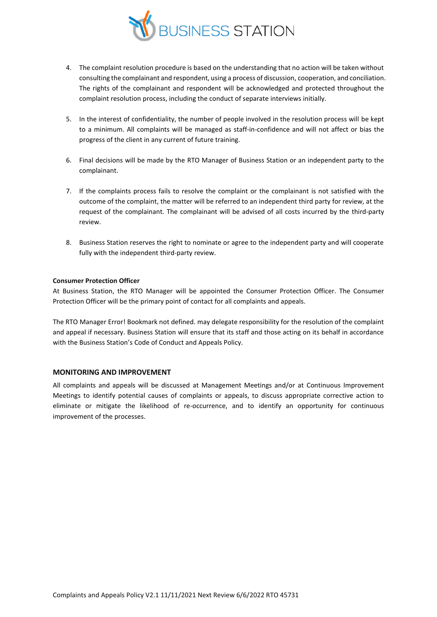

- 4. The complaint resolution procedure is based on the understanding that no action will be taken without consulting the complainant and respondent, using a process of discussion, cooperation, and conciliation. The rights of the complainant and respondent will be acknowledged and protected throughout the complaint resolution process, including the conduct of separate interviews initially.
- 5. In the interest of confidentiality, the number of people involved in the resolution process will be kept to a minimum. All complaints will be managed as staff-in-confidence and will not affect or bias the progress of the client in any current of future training.
- 6. Final decisions will be made by the RTO Manager of Business Station or an independent party to the complainant.
- 7. If the complaints process fails to resolve the complaint or the complainant is not satisfied with the outcome of the complaint, the matter will be referred to an independent third party for review, at the request of the complainant. The complainant will be advised of all costs incurred by the third-party review.
- 8. Business Station reserves the right to nominate or agree to the independent party and will cooperate fully with the independent third-party review.

## **Consumer Protection Officer**

At Business Station, the RTO Manager will be appointed the Consumer Protection Officer. The Consumer Protection Officer will be the primary point of contact for all complaints and appeals.

The RTO Manager Error! Bookmark not defined. may delegate responsibility for the resolution of the complaint and appeal if necessary. Business Station will ensure that its staff and those acting on its behalf in accordance with the Business Station's Code of Conduct and Appeals Policy.

## **MONITORING AND IMPROVEMENT**

All complaints and appeals will be discussed at Management Meetings and/or at Continuous Improvement Meetings to identify potential causes of complaints or appeals, to discuss appropriate corrective action to eliminate or mitigate the likelihood of re-occurrence, and to identify an opportunity for continuous improvement of the processes.